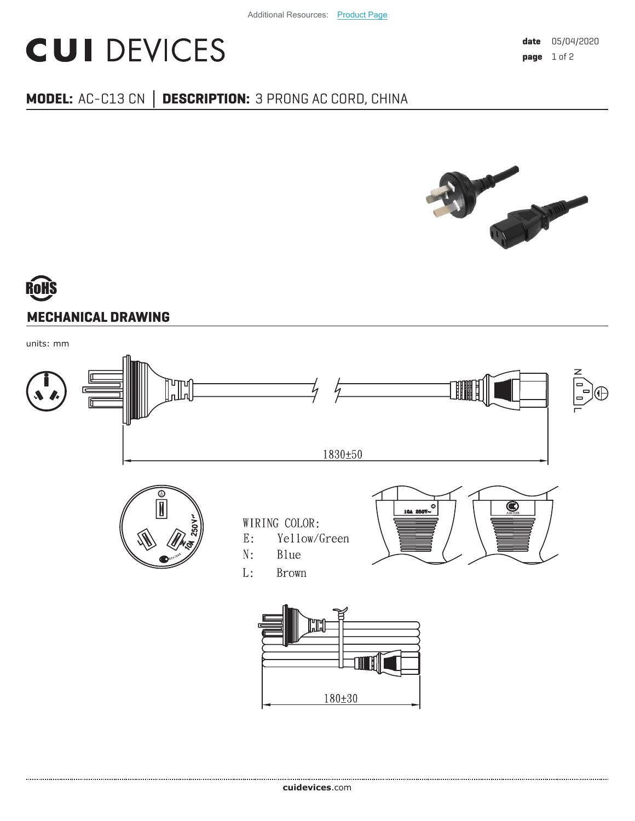## **CUI DEVICES**

## **MODEL:** AC-C13 CN **│ DESCRIPTION:** 3 PRONG AC CORD, CHINA



## **MECHANICAL DRAWING**

units: mm



 $180 + 30$